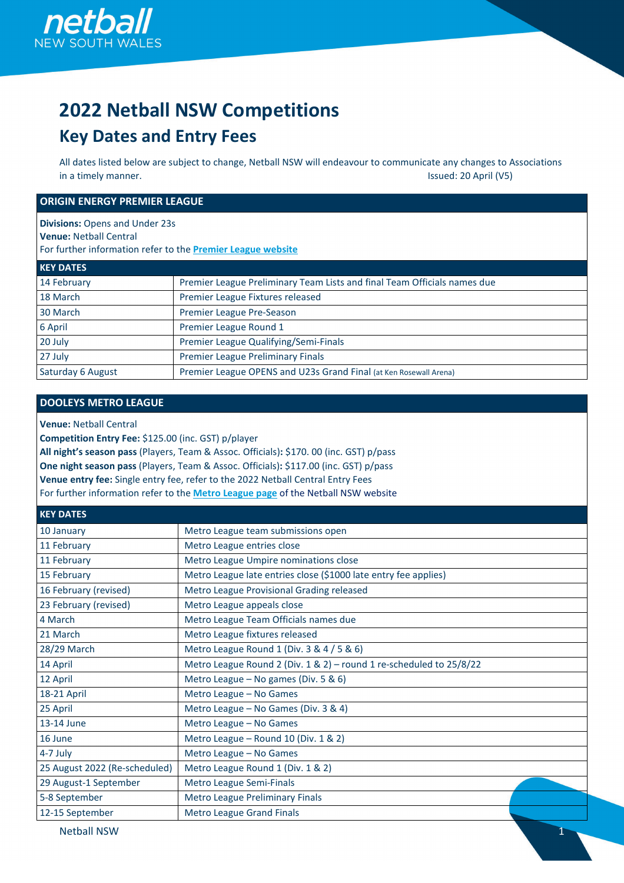

# **2022 Netball NSW Competitions**

# **Key Dates and Entry Fees**

All dates listed below are subject to change, Netball NSW will endeavour to communicate any changes to Associations in a timely manner. **In a timely manner.** Issued: 20 April (V5)

#### **ORIGIN ENERGY PREMIER LEAGUE**

**Divisions:** Opens and Under 23s **Venue:** Netball Central For further information refer to the **[Premier League website](https://www.nnswpremierleague.com.au/about/the-league/)**

| <b>KEY DATES</b>         |                                                                          |
|--------------------------|--------------------------------------------------------------------------|
| 14 February              | Premier League Preliminary Team Lists and final Team Officials names due |
| 18 March                 | Premier League Fixtures released                                         |
| 30 March                 | Premier League Pre-Season                                                |
| 6 April                  | Premier League Round 1                                                   |
| 20 July                  | Premier League Qualifying/Semi-Finals                                    |
| 27 July                  | <b>Premier League Preliminary Finals</b>                                 |
| <b>Saturday 6 August</b> | Premier League OPENS and U23s Grand Final (at Ken Rosewall Arena)        |

#### **DOOLEYS METRO LEAGUE**

**Venue:** Netball Central

**Competition Entry Fee:** \$125.00 (inc. GST) p/player

**All night's season pass** (Players, Team & Assoc. Officials)**:** \$170. 00 (inc. GST) p/pass

**One night season pass** (Players, Team & Assoc. Officials)**:** \$117.00 (inc. GST) p/pass

**Venue entry fee:** Single entry fee, refer to the 2022 Netball Central Entry Fees

For further information refer to the **[Metro League page](https://nsw.netball.com.au/dooleys-metro-league-0)** of the Netball NSW website

| <b>KEY DATES</b>              |                                                                     |  |
|-------------------------------|---------------------------------------------------------------------|--|
| 10 January                    | Metro League team submissions open                                  |  |
| 11 February                   | Metro League entries close                                          |  |
| 11 February                   | Metro League Umpire nominations close                               |  |
| 15 February                   | Metro League late entries close (\$1000 late entry fee applies)     |  |
| 16 February (revised)         | Metro League Provisional Grading released                           |  |
| 23 February (revised)         | Metro League appeals close                                          |  |
| 4 March                       | Metro League Team Officials names due                               |  |
| 21 March                      | Metro League fixtures released                                      |  |
| 28/29 March                   | Metro League Round 1 (Div. 3 & 4 / 5 & 6)                           |  |
| 14 April                      | Metro League Round 2 (Div. 1 & 2) - round 1 re-scheduled to 25/8/22 |  |
| 12 April                      | Metro League - No games (Div. 5 & 6)                                |  |
| 18-21 April                   | Metro League - No Games                                             |  |
| 25 April                      | Metro League - No Games (Div. 3 & 4)                                |  |
| 13-14 June                    | Metro League - No Games                                             |  |
| 16 June                       | Metro League - Round 10 (Div. 1 & 2)                                |  |
| $4-7$ July                    | Metro League - No Games                                             |  |
| 25 August 2022 (Re-scheduled) | Metro League Round 1 (Div. 1 & 2)                                   |  |
| 29 August-1 September         | Metro League Semi-Finals                                            |  |
| 5-8 September                 | Metro League Preliminary Finals                                     |  |
| 12-15 September               | <b>Metro League Grand Finals</b>                                    |  |

Netball NSW 1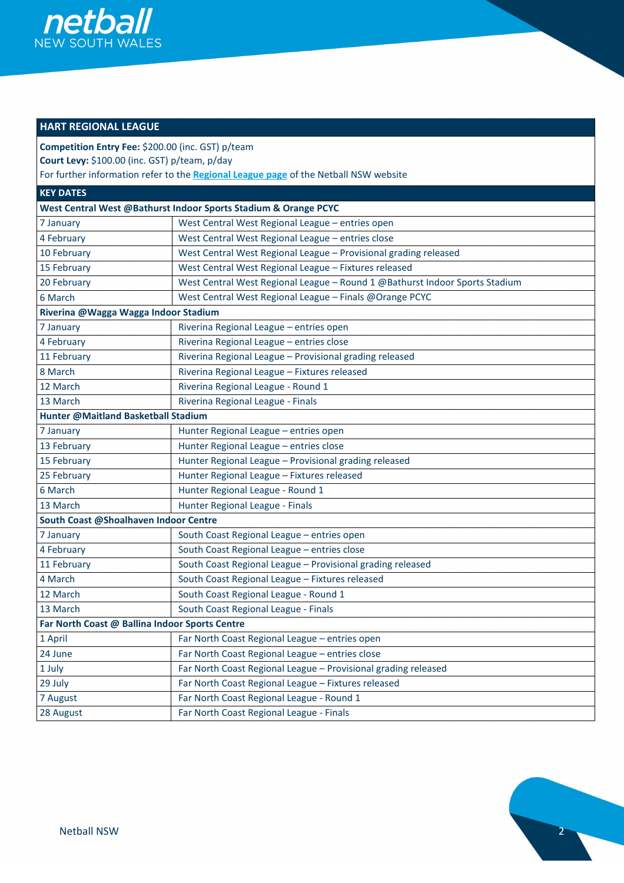

# **HART REGIONAL LEAGUE**

**Competition Entry Fee:** \$200.00 (inc. GST) p/team **Court Levy:** \$100.00 (inc. GST) p/team, p/day

For further information refer to the **[Regional League page](https://nsw.netball.com.au/hart-regional-league)** of the Netball NSW website

| <b>KEY DATES</b>                               |                                                                             |
|------------------------------------------------|-----------------------------------------------------------------------------|
|                                                | West Central West @Bathurst Indoor Sports Stadium & Orange PCYC             |
| 7 January                                      | West Central West Regional League - entries open                            |
| 4 February                                     | West Central West Regional League - entries close                           |
| 10 February                                    | West Central West Regional League - Provisional grading released            |
| 15 February                                    | West Central West Regional League - Fixtures released                       |
| 20 February                                    | West Central West Regional League - Round 1 @Bathurst Indoor Sports Stadium |
| 6 March                                        | West Central West Regional League - Finals @Orange PCYC                     |
| Riverina @Wagga Wagga Indoor Stadium           |                                                                             |
| 7 January                                      | Riverina Regional League - entries open                                     |
| 4 February                                     | Riverina Regional League - entries close                                    |
| 11 February                                    | Riverina Regional League - Provisional grading released                     |
| 8 March                                        | Riverina Regional League - Fixtures released                                |
| 12 March                                       | Riverina Regional League - Round 1                                          |
| 13 March                                       | Riverina Regional League - Finals                                           |
| Hunter @Maitland Basketball Stadium            |                                                                             |
| 7 January                                      | Hunter Regional League - entries open                                       |
| 13 February                                    | Hunter Regional League - entries close                                      |
| 15 February                                    | Hunter Regional League - Provisional grading released                       |
| 25 February                                    | Hunter Regional League - Fixtures released                                  |
| 6 March                                        | Hunter Regional League - Round 1                                            |
| 13 March                                       | Hunter Regional League - Finals                                             |
| South Coast @Shoalhaven Indoor Centre          |                                                                             |
| 7 January                                      | South Coast Regional League - entries open                                  |
| 4 February                                     | South Coast Regional League - entries close                                 |
| 11 February                                    | South Coast Regional League - Provisional grading released                  |
| 4 March                                        | South Coast Regional League - Fixtures released                             |
| 12 March                                       | South Coast Regional League - Round 1                                       |
| 13 March                                       | South Coast Regional League - Finals                                        |
| Far North Coast @ Ballina Indoor Sports Centre |                                                                             |
| 1 April                                        | Far North Coast Regional League - entries open                              |
| 24 June                                        | Far North Coast Regional League - entries close                             |
| 1 July                                         | Far North Coast Regional League - Provisional grading released              |
| 29 July                                        | Far North Coast Regional League - Fixtures released                         |
| 7 August                                       | Far North Coast Regional League - Round 1                                   |
| 28 August                                      | Far North Coast Regional League - Finals                                    |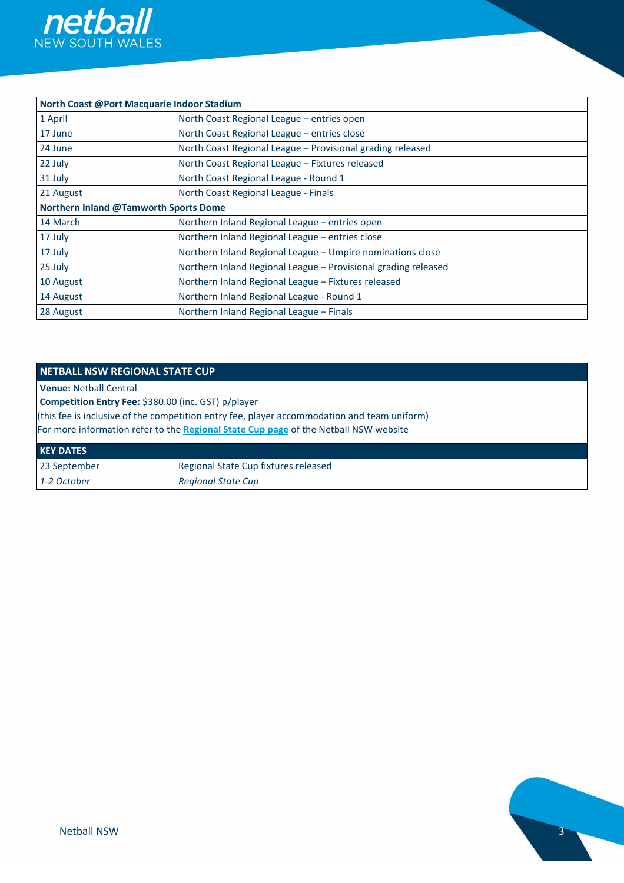

| North Coast @Port Macquarie Indoor Stadium   |                                                                |
|----------------------------------------------|----------------------------------------------------------------|
| 1 April                                      | North Coast Regional League - entries open                     |
| 17 June                                      | North Coast Regional League - entries close                    |
| 24 June                                      | North Coast Regional League - Provisional grading released     |
| 22 July                                      | North Coast Regional League - Fixtures released                |
| 31 July                                      | North Coast Regional League - Round 1                          |
| 21 August                                    | North Coast Regional League - Finals                           |
| <b>Northern Inland @Tamworth Sports Dome</b> |                                                                |
| 14 March                                     | Northern Inland Regional League - entries open                 |
| 17 July                                      | Northern Inland Regional League - entries close                |
| 17 July                                      | Northern Inland Regional League - Umpire nominations close     |
| 25 July                                      | Northern Inland Regional League - Provisional grading released |
| 10 August                                    | Northern Inland Regional League - Fixtures released            |
| 14 August                                    | Northern Inland Regional League - Round 1                      |
| 28 August                                    | Northern Inland Regional League - Finals                       |

#### **NETBALL NSW REGIONAL STATE CUP**

**Venue:** Netball Central

**Competition Entry Fee:** \$380.00 (inc. GST) p/player

(this fee is inclusive of the competition entry fee, player accommodation and team uniform)

For more information refer to the **[Regional State Cup page](https://nsw.netball.com.au/regional-state-cup)** of the Netball NSW website

| <b>KEY DATES</b> |                                      |
|------------------|--------------------------------------|
| 23 September     | Regional State Cup fixtures released |
| 1-2 October      | <b>Regional State Cup</b>            |

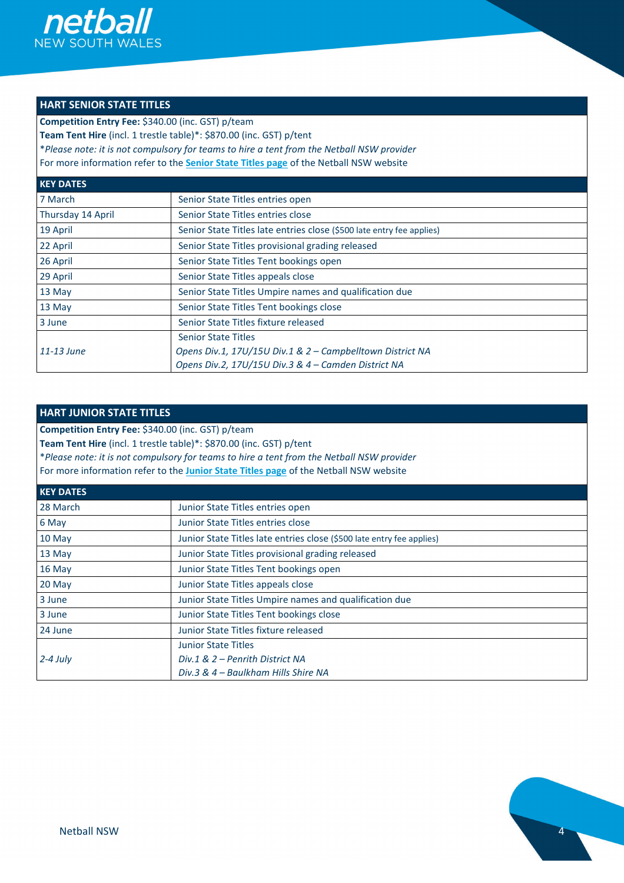

# **HART SENIOR STATE TITLES**

**Competition Entry Fee:** \$340.00 (inc. GST) p/team

**Team Tent Hire** (incl. 1 trestle table)\*: \$870.00 (inc. GST) p/tent

\**Please note: it is not compulsory for teams to hire a tent from the Netball NSW provider*

For more information refer to the **[Senior State Titles page](https://nsw.netball.com.au/hart-senior-state-titles-0)** of the Netball NSW website

| <b>KEY DATES</b>  |                                                                       |
|-------------------|-----------------------------------------------------------------------|
| 7 March           | Senior State Titles entries open                                      |
| Thursday 14 April | Senior State Titles entries close                                     |
| 19 April          | Senior State Titles late entries close (\$500 late entry fee applies) |
| 22 April          | Senior State Titles provisional grading released                      |
| 26 April          | Senior State Titles Tent bookings open                                |
| 29 April          | Senior State Titles appeals close                                     |
| 13 May            | Senior State Titles Umpire names and qualification due                |
| 13 May            | Senior State Titles Tent bookings close                               |
| 3 June            | Senior State Titles fixture released                                  |
|                   | <b>Senior State Titles</b>                                            |
| 11-13 June        | Opens Div.1, 17U/15U Div.1 & 2 - Campbelltown District NA             |
|                   | Opens Div.2, 17U/15U Div.3 & 4 - Camden District NA                   |

#### **HART JUNIOR STATE TITLES**

**Competition Entry Fee:** \$340.00 (inc. GST) p/team

**Team Tent Hire** (incl. 1 trestle table)\*: \$870.00 (inc. GST) p/tent

\**Please note: it is not compulsory for teams to hire a tent from the Netball NSW provider*

For more information refer to the **[Junior State Titles page](https://nsw.netball.com.au/hart-junior-state-titles)** of the Netball NSW website

| <b>KEY DATES</b> |                                                                       |
|------------------|-----------------------------------------------------------------------|
| 28 March         | Junior State Titles entries open                                      |
| 6 May            | Junior State Titles entries close                                     |
| $10$ May         | Junior State Titles late entries close (\$500 late entry fee applies) |
| $13$ May         | Junior State Titles provisional grading released                      |
| $16$ May         | Junior State Titles Tent bookings open                                |
| $20$ May         | Junior State Titles appeals close                                     |
| 3 June           | Junior State Titles Umpire names and qualification due                |
| 3 June           | Junior State Titles Tent bookings close                               |
| 24 June          | Junior State Titles fixture released                                  |
|                  | <b>Junior State Titles</b>                                            |
| $2-4$ July       | Div.1 & 2 – Penrith District NA                                       |
|                  | Div.3 & 4 – Baulkham Hills Shire NA                                   |

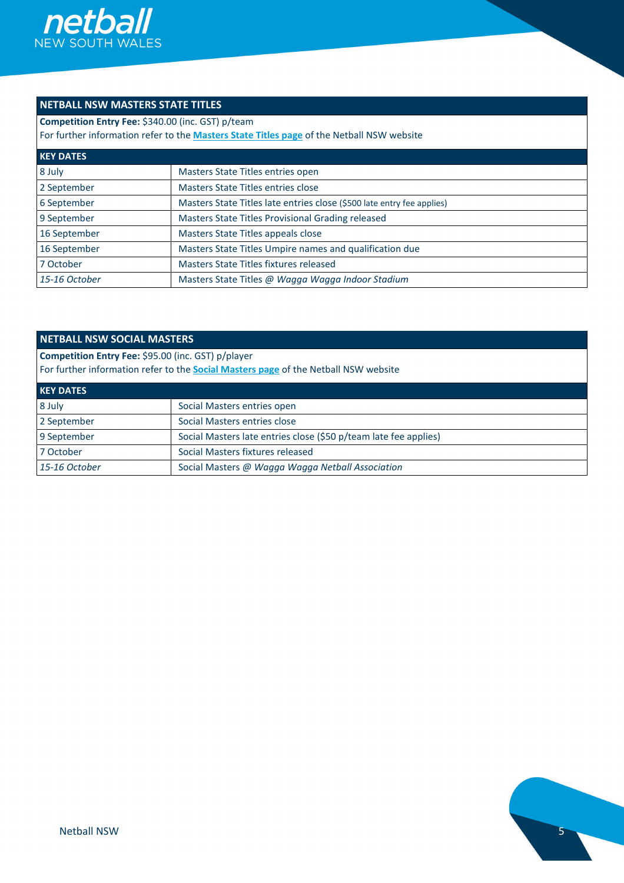

# **NETBALL NSW MASTERS STATE TITLES**

**Competition Entry Fee:** \$340.00 (inc. GST) p/team

For further information refer to the **[Masters State Titles page](https://nsw.netball.com.au/netball-nsw-masters-state-titles)** of the Netball NSW website

| <b>KEY DATES</b> |                                                                        |
|------------------|------------------------------------------------------------------------|
| 8 July           | Masters State Titles entries open                                      |
| 2 September      | Masters State Titles entries close                                     |
| 6 September      | Masters State Titles late entries close (\$500 late entry fee applies) |
| 9 September      | Masters State Titles Provisional Grading released                      |
| 16 September     | Masters State Titles appeals close                                     |
| 16 September     | Masters State Titles Umpire names and qualification due                |
| 7 October        | Masters State Titles fixtures released                                 |
| 15-16 October    | Masters State Titles @ Wagga Wagga Indoor Stadium                      |

#### **NETBALL NSW SOCIAL MASTERS**

**Competition Entry Fee:** \$95.00 (inc. GST) p/player For further information refer to the **[Social Masters page](https://nsw.netball.com.au/netball-nsw-social-masters)** of the Netball NSW website

| <b>KEY DATES</b> |                                                                  |
|------------------|------------------------------------------------------------------|
| 8 July           | Social Masters entries open                                      |
| 2 September      | Social Masters entries close                                     |
| 9 September      | Social Masters late entries close (\$50 p/team late fee applies) |
| 7 October        | Social Masters fixtures released                                 |
| 15-16 October    | Social Masters @ Wagga Wagga Netball Association                 |